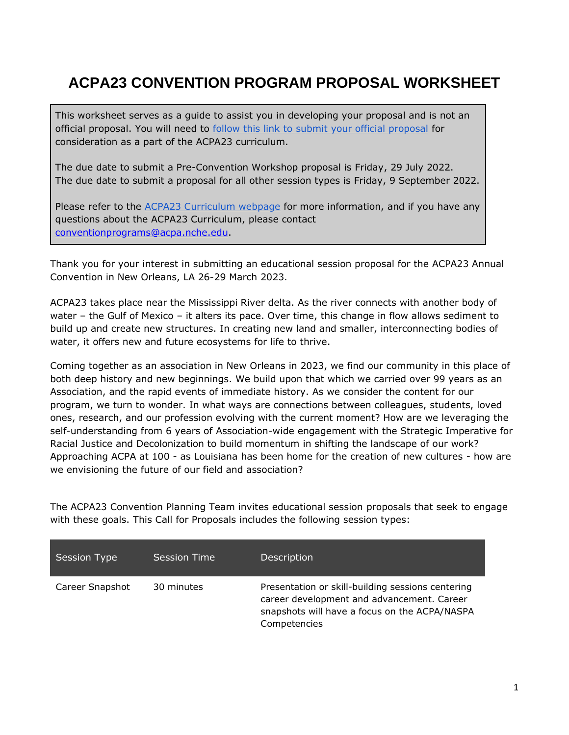# **ACPA23 CONVENTION PROGRAM PROPOSAL WORKSHEET**

This worksheet serves as a guide to assist you in developing your proposal and is not an official proposal. You will need to [follow this link to submit your official proposal](https://s1.goeshow.com/acpa/annual/2022/session_submission.cfm) for consideration as a part of the ACPA23 curriculum.

The due date to submit a Pre-Convention Workshop proposal is Friday, 29 July 2022. The due date to submit a proposal for all other session types is Friday, 9 September 2022.

Please refer to the [ACPA23 Curriculum webpage](http://convention.myacpa.org/stlouis2022/curriculum/) for more information, and if you have any questions about the ACPA23 Curriculum, please contact [conventionprograms@acpa.nche.edu.](mailto:conventionprograms@acpa.nche.edu)

Thank you for your interest in submitting an educational session proposal for the ACPA23 Annual Convention in New Orleans, LA 26-29 March 2023.

ACPA23 takes place near the Mississippi River delta. As the river connects with another body of water – the Gulf of Mexico – it alters its pace. Over time, this change in flow allows sediment to build up and create new structures. In creating new land and smaller, interconnecting bodies of water, it offers new and future ecosystems for life to thrive.

Coming together as an association in New Orleans in 2023, we find our community in this place of both deep history and new beginnings. We build upon that which we carried over 99 years as an Association, and the rapid events of immediate history. As we consider the content for our program, we turn to wonder. In what ways are connections between colleagues, students, loved ones, research, and our profession evolving with the current moment? How are we leveraging the self-understanding from 6 years of Association-wide engagement with the Strategic Imperative for Racial Justice and Decolonization to build momentum in shifting the landscape of our work? Approaching ACPA at 100 - as Louisiana has been home for the creation of new cultures - how are we envisioning the future of our field and association?

The ACPA23 Convention Planning Team invites educational session proposals that seek to engage with these goals. This Call for Proposals includes the following session types:

| Session Type    | Session Time | Description                                                                                                                                                      |
|-----------------|--------------|------------------------------------------------------------------------------------------------------------------------------------------------------------------|
| Career Snapshot | 30 minutes   | Presentation or skill-building sessions centering<br>career development and advancement. Career<br>snapshots will have a focus on the ACPA/NASPA<br>Competencies |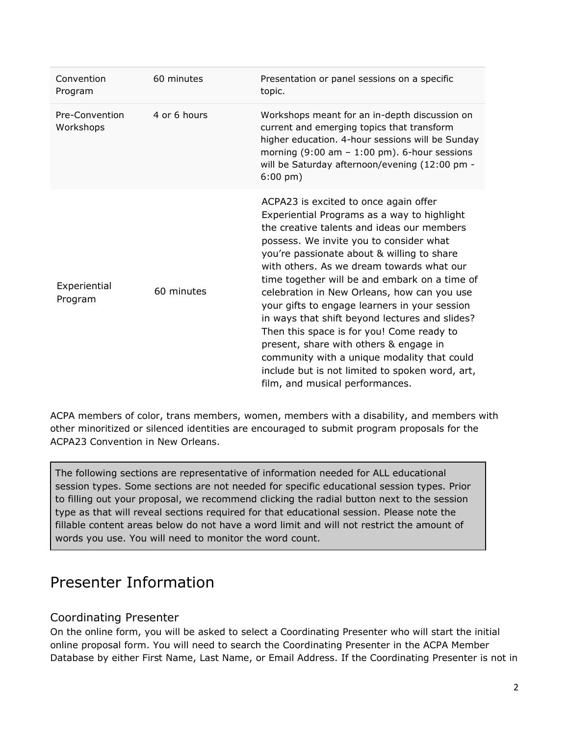| Convention<br>Program       | 60 minutes   | Presentation or panel sessions on a specific<br>topic.                                                                                                                                                                                                                                                                                                                                                                                                                                                                                                                                                                                                                                                  |
|-----------------------------|--------------|---------------------------------------------------------------------------------------------------------------------------------------------------------------------------------------------------------------------------------------------------------------------------------------------------------------------------------------------------------------------------------------------------------------------------------------------------------------------------------------------------------------------------------------------------------------------------------------------------------------------------------------------------------------------------------------------------------|
| Pre-Convention<br>Workshops | 4 or 6 hours | Workshops meant for an in-depth discussion on<br>current and emerging topics that transform<br>higher education. 4-hour sessions will be Sunday<br>morning $(9:00 \text{ am} - 1:00 \text{ pm})$ . 6-hour sessions<br>will be Saturday afternoon/evening (12:00 pm -<br>$6:00 \text{ pm}$ )                                                                                                                                                                                                                                                                                                                                                                                                             |
| Experiential<br>Program     | 60 minutes   | ACPA23 is excited to once again offer<br>Experiential Programs as a way to highlight<br>the creative talents and ideas our members<br>possess. We invite you to consider what<br>you're passionate about & willing to share<br>with others. As we dream towards what our<br>time together will be and embark on a time of<br>celebration in New Orleans, how can you use<br>your gifts to engage learners in your session<br>in ways that shift beyond lectures and slides?<br>Then this space is for you! Come ready to<br>present, share with others & engage in<br>community with a unique modality that could<br>include but is not limited to spoken word, art,<br>film, and musical performances. |

ACPA members of color, trans members, women, members with a disability, and members with other minoritized or silenced identities are encouraged to submit program proposals for the ACPA23 Convention in New Orleans.

The following sections are representative of information needed for ALL educational session types. Some sections are not needed for specific educational session types. Prior to filling out your proposal, we recommend clicking the radial button next to the session type as that will reveal sections required for that educational session. Please note the fillable content areas below do not have a word limit and will not restrict the amount of words you use. You will need to monitor the word count.

# Presenter Information

### Coordinating Presenter

On the online form, you will be asked to select a Coordinating Presenter who will start the initial online proposal form. You will need to search the Coordinating Presenter in the ACPA Member Database by either First Name, Last Name, or Email Address. If the Coordinating Presenter is not in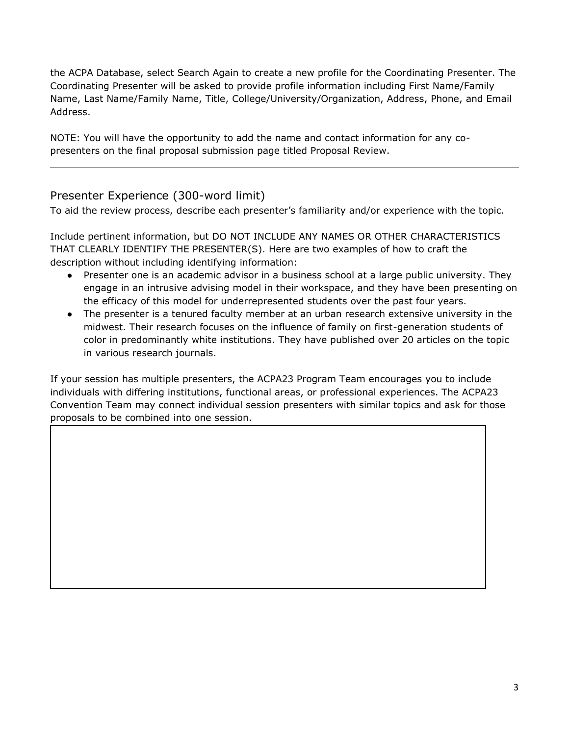the ACPA Database, select Search Again to create a new profile for the Coordinating Presenter. The Coordinating Presenter will be asked to provide profile information including First Name/Family Name, Last Name/Family Name, Title, College/University/Organization, Address, Phone, and Email Address.

NOTE: You will have the opportunity to add the name and contact information for any copresenters on the final proposal submission page titled Proposal Review.

#### Presenter Experience (300-word limit)

To aid the review process, describe each presenter's familiarity and/or experience with the topic.

Include pertinent information, but DO NOT INCLUDE ANY NAMES OR OTHER CHARACTERISTICS THAT CLEARLY IDENTIFY THE PRESENTER(S). Here are two examples of how to craft the description without including identifying information:

- Presenter one is an academic advisor in a business school at a large public university. They engage in an intrusive advising model in their workspace, and they have been presenting on the efficacy of this model for underrepresented students over the past four years.
- The presenter is a tenured faculty member at an urban research extensive university in the midwest. Their research focuses on the influence of family on first-generation students of color in predominantly white institutions. They have published over 20 articles on the topic in various research journals.

If your session has multiple presenters, the ACPA23 Program Team encourages you to include individuals with differing institutions, functional areas, or professional experiences. The ACPA23 Convention Team may connect individual session presenters with similar topics and ask for those proposals to be combined into one session.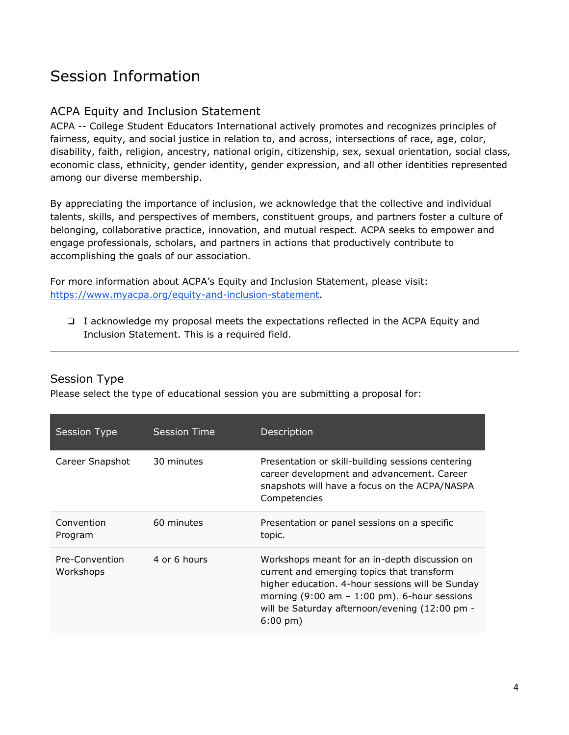# Session Information

### ACPA Equity and Inclusion Statement

ACPA -- College Student Educators International actively promotes and recognizes principles of fairness, equity, and social justice in relation to, and across, intersections of race, age, color, disability, faith, religion, ancestry, national origin, citizenship, sex, sexual orientation, social class, economic class, ethnicity, gender identity, gender expression, and all other identities represented among our diverse membership.

By appreciating the importance of inclusion, we acknowledge that the collective and individual talents, skills, and perspectives of members, constituent groups, and partners foster a culture of belonging, collaborative practice, innovation, and mutual respect. ACPA seeks to empower and engage professionals, scholars, and partners in actions that productively contribute to accomplishing the goals of our association.

For more information about ACPA's Equity and Inclusion Statement, please visit: [https://www.myacpa.org/equity-and-inclusion-statement.](https://www.myacpa.org/equity-and-inclusion-statement) 

❏ I acknowledge my proposal meets the expectations reflected in the ACPA Equity and Inclusion Statement. This is a required field.

#### Session Type

Please select the type of educational session you are submitting a proposal for:

| <b>Session Type</b>         | Session Time | Description                                                                                                                                                                                                                                                                        |
|-----------------------------|--------------|------------------------------------------------------------------------------------------------------------------------------------------------------------------------------------------------------------------------------------------------------------------------------------|
| Career Snapshot             | 30 minutes   | Presentation or skill-building sessions centering<br>career development and advancement. Career<br>snapshots will have a focus on the ACPA/NASPA<br>Competencies                                                                                                                   |
| Convention<br>Program       | 60 minutes   | Presentation or panel sessions on a specific<br>topic.                                                                                                                                                                                                                             |
| Pre-Convention<br>Workshops | 4 or 6 hours | Workshops meant for an in-depth discussion on<br>current and emerging topics that transform<br>higher education. 4-hour sessions will be Sunday<br>morning $(9:00 \text{ am} - 1:00 \text{ pm})$ . 6-hour sessions<br>will be Saturday afternoon/evening (12:00 pm -<br>$6:00$ pm) |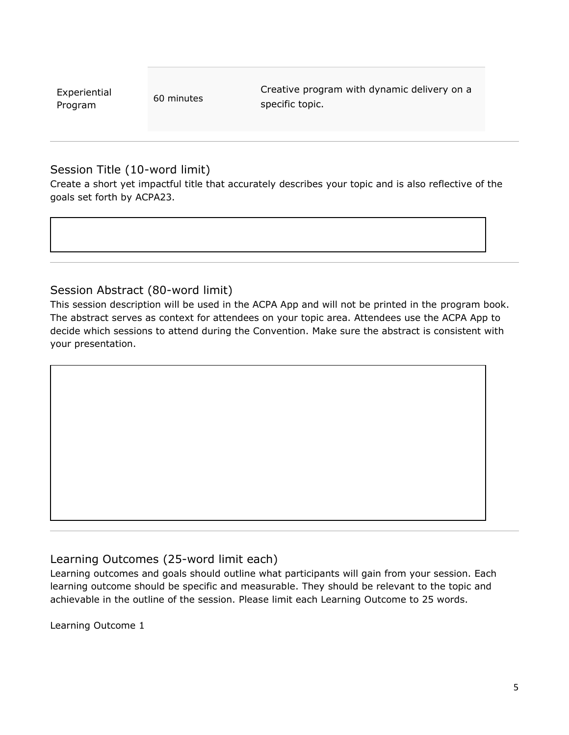| Experiential |  |
|--------------|--|
| Program      |  |

60 minutes

Creative program with dynamic delivery on a specific topic.

#### Session Title (10-word limit)

Create a short yet impactful title that accurately describes your topic and is also reflective of the goals set forth by ACPA23.

#### Session Abstract (80-word limit)

This session description will be used in the ACPA App and will not be printed in the program book. The abstract serves as context for attendees on your topic area. Attendees use the ACPA App to decide which sessions to attend during the Convention. Make sure the abstract is consistent with your presentation.

### Learning Outcomes (25-word limit each)

Learning outcomes and goals should outline what participants will gain from your session. Each learning outcome should be specific and measurable. They should be relevant to the topic and achievable in the outline of the session. Please limit each Learning Outcome to 25 words.

Learning Outcome 1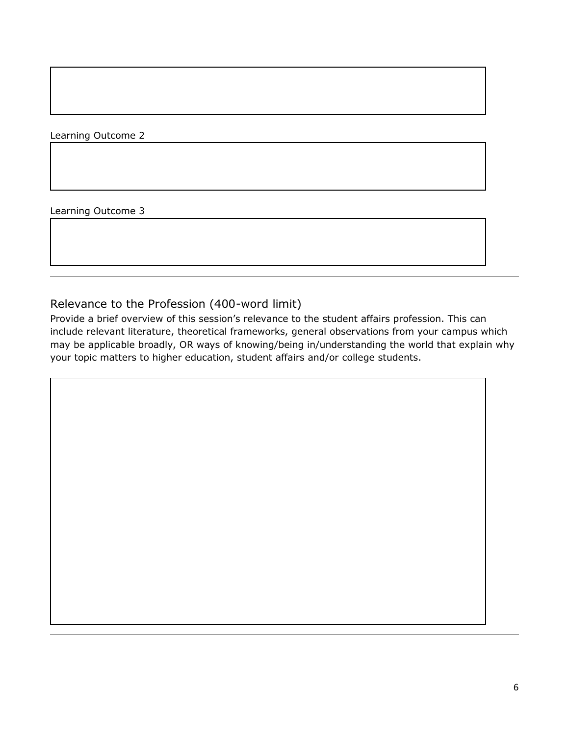Learning Outcome 2

Learning Outcome 3

#### Relevance to the Profession (400-word limit)

Provide a brief overview of this session's relevance to the student affairs profession. This can include relevant literature, theoretical frameworks, general observations from your campus which may be applicable broadly, OR ways of knowing/being in/understanding the world that explain why your topic matters to higher education, student affairs and/or college students.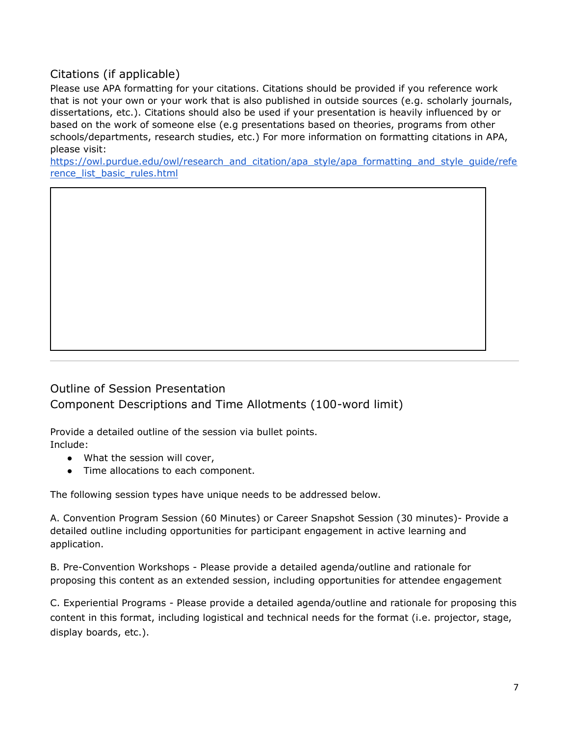### Citations (if applicable)

Please use APA formatting for your citations. Citations should be provided if you reference work that is not your own or your work that is also published in outside sources (e.g. scholarly journals, dissertations, etc.). Citations should also be used if your presentation is heavily influenced by or based on the work of someone else (e.g presentations based on theories, programs from other schools/departments, research studies, etc.) For more information on formatting citations in APA, please visit:

[https://owl.purdue.edu/owl/research\\_and\\_citation/apa\\_style/apa\\_formatting\\_and\\_style\\_guide/refe](https://owl.purdue.edu/owl/research_and_citation/apa_style/apa_formatting_and_style_guide/reference_list_basic_rules.html) [rence\\_list\\_basic\\_rules.html](https://owl.purdue.edu/owl/research_and_citation/apa_style/apa_formatting_and_style_guide/reference_list_basic_rules.html)

## Outline of Session Presentation Component Descriptions and Time Allotments (100-word limit)

Provide a detailed outline of the session via bullet points. Include:

- What the session will cover,
- Time allocations to each component.

The following session types have unique needs to be addressed below.

A. Convention Program Session (60 Minutes) or Career Snapshot Session (30 minutes)- Provide a detailed outline including opportunities for participant engagement in active learning and application.

B. Pre-Convention Workshops - Please provide a detailed agenda/outline and rationale for proposing this content as an extended session, including opportunities for attendee engagement

C. Experiential Programs - Please provide a detailed agenda/outline and rationale for proposing this content in this format, including logistical and technical needs for the format (i.e. projector, stage, display boards, etc.).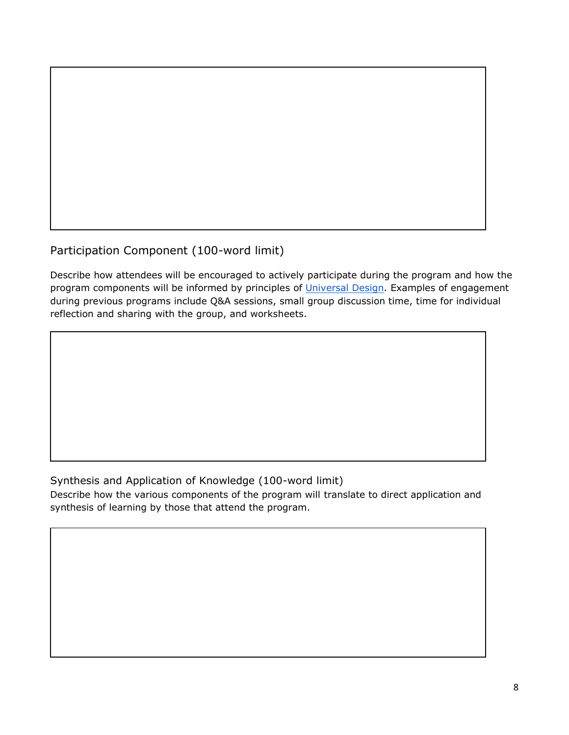

Participation Component (100-word limit)

Describe how attendees will be encouraged to actively participate during the program and how the program components will be informed by principles of [Universal Design.](https://universaldesign.ie/what-is-universal-design/) Examples of engagement during previous programs include Q&A sessions, small group discussion time, time for individual reflection and sharing with the group, and worksheets.

### Synthesis and Application of Knowledge (100-word limit)

Describe how the various components of the program will translate to direct application and synthesis of learning by those that attend the program.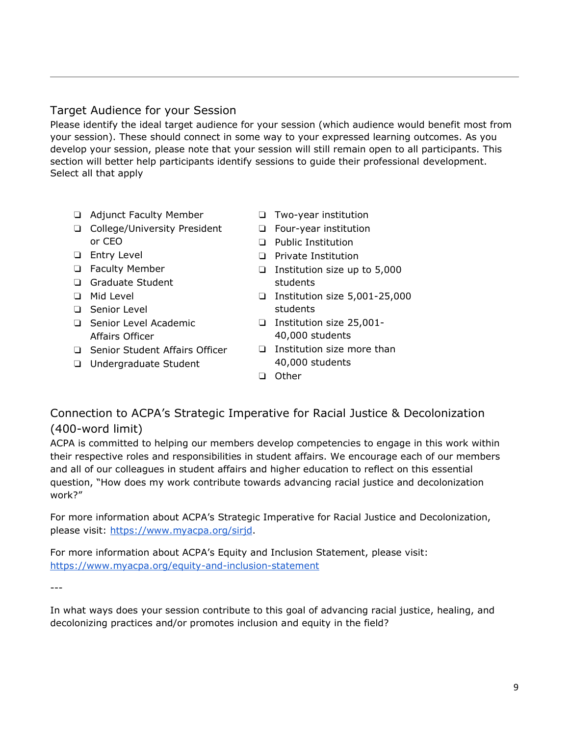#### Target Audience for your Session

Please identify the ideal target audience for your session (which audience would benefit most from your session). These should connect in some way to your expressed learning outcomes. As you develop your session, please note that your session will still remain open to all participants. This section will better help participants identify sessions to guide their professional development. Select all that apply

- ❏ Adjunct Faculty Member
- ❏ College/University President or CEO
- ❏ Entry Level
- ❏ Faculty Member
- ❏ Graduate Student
- ❏ Mid Level
- ❏ Senior Level
- ❏ Senior Level Academic Affairs Officer
- ❏ Senior Student Affairs Officer
- ❏ Undergraduate Student
- ❏ Two-year institution
- ❏ Four-year institution
- ❏ Public Institution
- ❏ Private Institution
- ❏ Institution size up to 5,000 students
- ❏ Institution size 5,001-25,000 students
- ❏ Institution size 25,001- 40,000 students
- ❏ Institution size more than 40,000 students
- ❏ Other

### Connection to ACPA's Strategic Imperative for Racial Justice & Decolonization (400-word limit)

ACPA is committed to helping our members develop competencies to engage in this work within their respective roles and responsibilities in student affairs. We encourage each of our members and all of our colleagues in student affairs and higher education to reflect on this essential question, "How does my work contribute towards advancing racial justice and decolonization work?"

For more information about ACPA's Strategic Imperative for Racial Justice and Decolonization, please visit: [https://www.myacpa.org/sirjd.](https://www.myacpa.org/sirjd)

For more information about ACPA's Equity and Inclusion Statement, please visit: <https://www.myacpa.org/equity-and-inclusion-statement>

---

In what ways does your session contribute to this goal of advancing racial justice, healing, and decolonizing practices and/or promotes inclusion and equity in the field?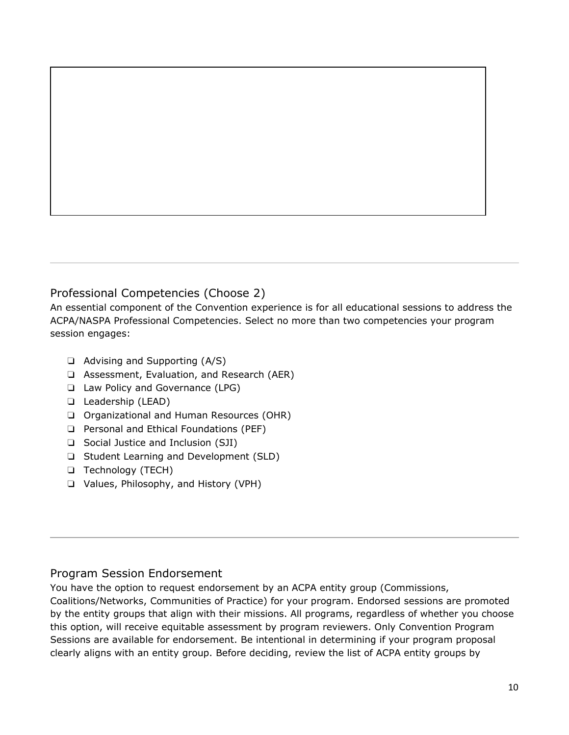#### Professional Competencies (Choose 2)

An essential component of the Convention experience is for all educational sessions to address the ACPA/NASPA Professional Competencies. Select no more than two competencies your program session engages:

- ❏ Advising and Supporting (A/S)
- ❏ Assessment, Evaluation, and Research (AER)
- ❏ Law Policy and Governance (LPG)
- ❏ Leadership (LEAD)
- ❏ Organizational and Human Resources (OHR)
- ❏ Personal and Ethical Foundations (PEF)
- ❏ Social Justice and Inclusion (SJI)
- ❏ Student Learning and Development (SLD)
- ❏ Technology (TECH)
- ❏ Values, Philosophy, and History (VPH)

#### Program Session Endorsement

You have the option to request endorsement by an ACPA entity group (Commissions,

Coalitions/Networks, Communities of Practice) for your program. Endorsed sessions are promoted by the entity groups that align with their missions. All programs, regardless of whether you choose this option, will receive equitable assessment by program reviewers. Only Convention Program Sessions are available for endorsement. Be intentional in determining if your program proposal clearly aligns with an entity group. Before deciding, review the list of ACPA entity groups by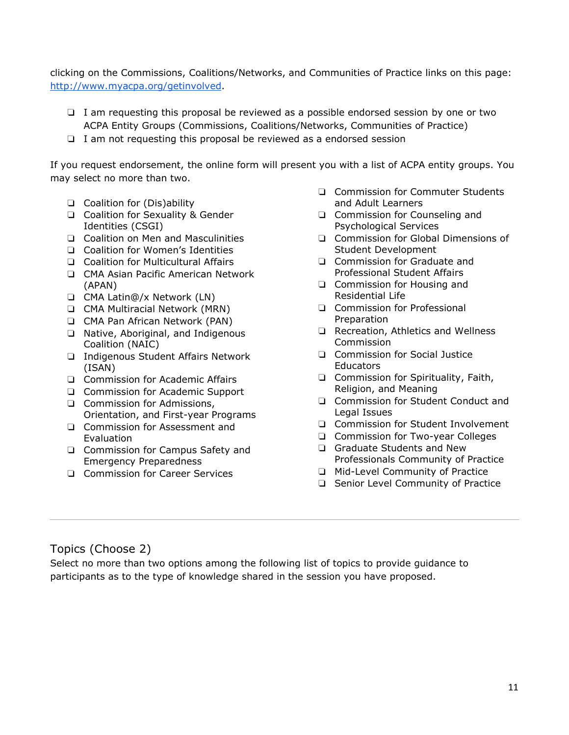clicking on the Commissions, Coalitions/Networks, and Communities of Practice links on this page: [http://www.myacpa.org/getinvolved.](http://www.myacpa.org/getinvolved)

- ❏ I am requesting this proposal be reviewed as a possible endorsed session by one or two ACPA Entity Groups (Commissions, Coalitions/Networks, Communities of Practice)
- ❏ I am not requesting this proposal be reviewed as a endorsed session

If you request endorsement, the online form will present you with a list of ACPA entity groups. You may select no more than two.

- ❏ Coalition for (Dis)ability
- ❏ Coalition for Sexuality & Gender Identities (CSGI)
- ❏ Coalition on Men and Masculinities
- ❏ Coalition for Women's Identities
- ❏ Coalition for Multicultural Affairs
- ❏ CMA Asian Pacific American Network (APAN)
- ❏ CMA Latin@/x Network (LN)
- ❏ CMA Multiracial Network (MRN)
- ❏ CMA Pan African Network (PAN)
- ❏ Native, Aboriginal, and Indigenous Coalition (NAIC)
- ❏ Indigenous Student Affairs Network (ISAN)
- ❏ Commission for Academic Affairs
- ❏ Commission for Academic Support
- ❏ Commission for Admissions, Orientation, and First-year Programs
- ❏ Commission for Assessment and Evaluation
- ❏ Commission for Campus Safety and Emergency Preparedness
- ❏ Commission for Career Services
- ❏ Commission for Commuter Students and Adult Learners
- ❏ Commission for Counseling and Psychological Services
- ❏ Commission for Global Dimensions of Student Development
- ❏ Commission for Graduate and Professional Student Affairs
- ❏ Commission for Housing and Residential Life
- ❏ Commission for Professional Preparation
- ❏ Recreation, Athletics and Wellness Commission
- ❏ Commission for Social Justice Educators
- ❏ Commission for Spirituality, Faith, Religion, and Meaning
- ❏ Commission for Student Conduct and Legal Issues
- ❏ Commission for Student Involvement
- ❏ Commission for Two-year Colleges
- ❏ Graduate Students and New Professionals Community of Practice
- ❏ Mid-Level Community of Practice
- ❏ Senior Level Community of Practice

## Topics (Choose 2)

Select no more than two options among the following list of topics to provide guidance to participants as to the type of knowledge shared in the session you have proposed.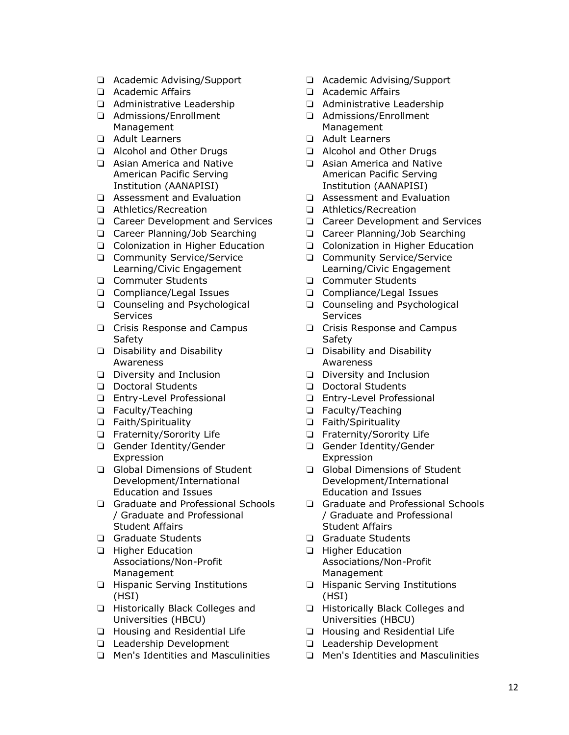- ❏ Academic Advising/Support
- ❏ Academic Affairs
- ❏ Administrative Leadership
- ❏ Admissions/Enrollment Management
- ❏ Adult Learners
- ❏ Alcohol and Other Drugs
- ❏ Asian America and Native American Pacific Serving Institution (AANAPISI)
- ❏ Assessment and Evaluation
- ❏ Athletics/Recreation
- ❏ Career Development and Services
- ❏ Career Planning/Job Searching
- ❏ Colonization in Higher Education
- ❏ Community Service/Service Learning/Civic Engagement
- ❏ Commuter Students
- ❏ Compliance/Legal Issues
- ❏ Counseling and Psychological **Services**
- ❏ Crisis Response and Campus **Safety**
- ❏ Disability and Disability Awareness
- ❏ Diversity and Inclusion
- ❏ Doctoral Students
- ❏ Entry-Level Professional
- ❏ Faculty/Teaching
- ❏ Faith/Spirituality
- ❏ Fraternity/Sorority Life
- ❏ Gender Identity/Gender Expression
- ❏ Global Dimensions of Student Development/International Education and Issues
- ❏ Graduate and Professional Schools / Graduate and Professional Student Affairs
- ❏ Graduate Students
- ❏ Higher Education Associations/Non-Profit Management
- ❏ Hispanic Serving Institutions (HSI)
- ❏ Historically Black Colleges and Universities (HBCU)
- ❏ Housing and Residential Life
- ❏ Leadership Development
- ❏ Men's Identities and Masculinities
- ❏ Academic Advising/Support
- ❏ Academic Affairs
- ❏ Administrative Leadership
- ❏ Admissions/Enrollment Management
- ❏ Adult Learners
- ❏ Alcohol and Other Drugs
- ❏ Asian America and Native American Pacific Serving Institution (AANAPISI)
- ❏ Assessment and Evaluation
- ❏ Athletics/Recreation
- ❏ Career Development and Services
- ❏ Career Planning/Job Searching
- ❏ Colonization in Higher Education
- ❏ Community Service/Service Learning/Civic Engagement
- ❏ Commuter Students
- ❏ Compliance/Legal Issues
- ❏ Counseling and Psychological **Services**
- ❏ Crisis Response and Campus **Safety**
- ❏ Disability and Disability Awareness
- ❏ Diversity and Inclusion
- ❏ Doctoral Students
- ❏ Entry-Level Professional
- ❏ Faculty/Teaching
- ❏ Faith/Spirituality
- ❏ Fraternity/Sorority Life
- ❏ Gender Identity/Gender Expression
- ❏ Global Dimensions of Student Development/International Education and Issues
- ❏ Graduate and Professional Schools / Graduate and Professional Student Affairs
- ❏ Graduate Students
- ❏ Higher Education Associations/Non-Profit Management
- ❏ Hispanic Serving Institutions (HSI)
- ❏ Historically Black Colleges and Universities (HBCU)
- ❏ Housing and Residential Life
- ❏ Leadership Development
- ❏ Men's Identities and Masculinities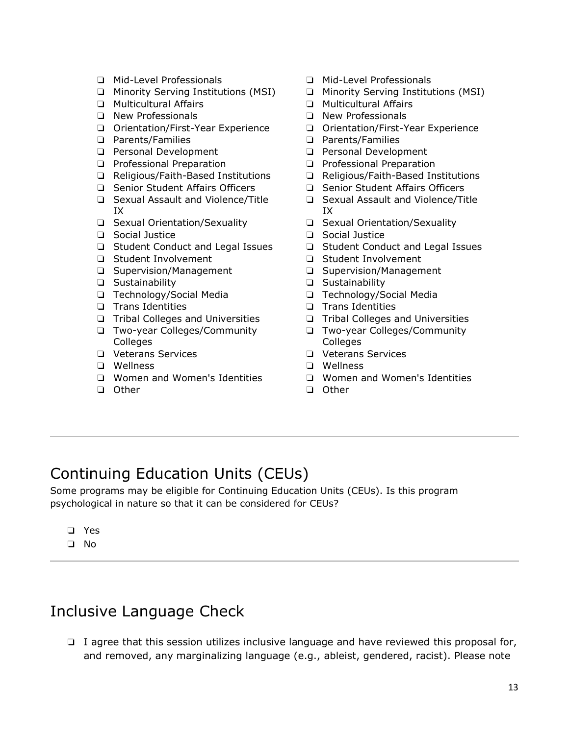- ❏ Mid-Level Professionals
- ❏ Minority Serving Institutions (MSI)
- ❏ Multicultural Affairs
- ❏ New Professionals
- ❏ Orientation/First-Year Experience
- ❏ Parents/Families
- ❏ Personal Development
- ❏ Professional Preparation
- ❏ Religious/Faith-Based Institutions
- ❏ Senior Student Affairs Officers
- ❏ Sexual Assault and Violence/Title IX
- ❏ Sexual Orientation/Sexuality
- ❏ Social Justice
- ❏ Student Conduct and Legal Issues
- ❏ Student Involvement
- ❏ Supervision/Management
- ❏ Sustainability
- ❏ Technology/Social Media
- ❏ Trans Identities
- ❏ Tribal Colleges and Universities
- ❏ Two-year Colleges/Community Colleges
- ❏ Veterans Services
- ❏ Wellness
- ❏ Women and Women's Identities
- ❏ Other
- ❏ Mid-Level Professionals
- ❏ Minority Serving Institutions (MSI)
- ❏ Multicultural Affairs
- ❏ New Professionals
- ❏ Orientation/First-Year Experience
- ❏ Parents/Families
- ❏ Personal Development
- ❏ Professional Preparation
- ❏ Religious/Faith-Based Institutions
- ❏ Senior Student Affairs Officers
- ❏ Sexual Assault and Violence/Title IX
- ❏ Sexual Orientation/Sexuality
- ❏ Social Justice
- ❏ Student Conduct and Legal Issues
- ❏ Student Involvement
- ❏ Supervision/Management
- ❏ Sustainability
- ❏ Technology/Social Media
- ❏ Trans Identities
- ❏ Tribal Colleges and Universities
- ❏ Two-year Colleges/Community Colleges
- ❏ Veterans Services
- ❏ Wellness
- ❏ Women and Women's Identities
- ❏ Other

# Continuing Education Units (CEUs)

Some programs may be eligible for Continuing Education Units (CEUs). Is this program psychological in nature so that it can be considered for CEUs?

- ❏ Yes
- ❏ No

# Inclusive Language Check

❏ I agree that this session utilizes inclusive language and have reviewed this proposal for, and removed, any marginalizing language (e.g., ableist, gendered, racist). Please note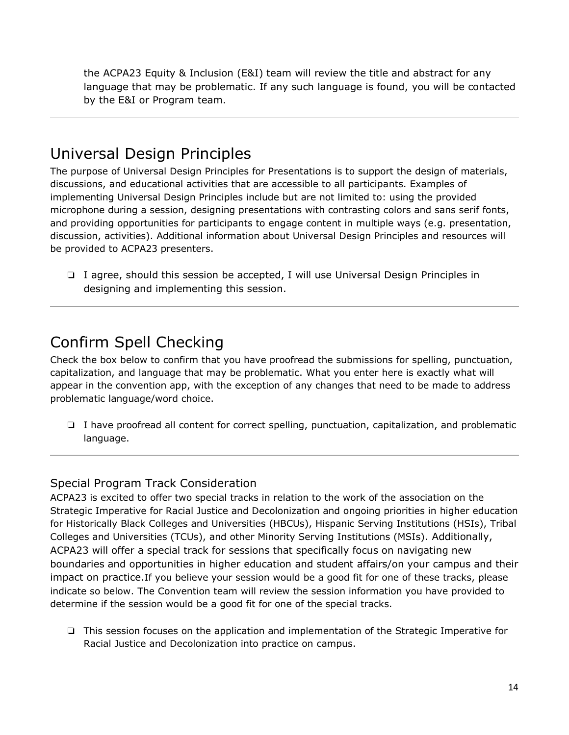the ACPA23 Equity & Inclusion (E&I) team will review the title and abstract for any language that may be problematic. If any such language is found, you will be contacted by the E&I or Program team.

# Universal Design Principles

The purpose of Universal Design Principles for Presentations is to support the design of materials, discussions, and educational activities that are accessible to all participants. Examples of implementing Universal Design Principles include but are not limited to: using the provided microphone during a session, designing presentations with contrasting colors and sans serif fonts, and providing opportunities for participants to engage content in multiple ways (e.g. presentation, discussion, activities). Additional information about Universal Design Principles and resources will be provided to ACPA23 presenters.

❏ I agree, should this session be accepted, I will use Universal Design Principles in designing and implementing this session.

# Confirm Spell Checking

Check the box below to confirm that you have proofread the submissions for spelling, punctuation, capitalization, and language that may be problematic. What you enter here is exactly what will appear in the convention app, with the exception of any changes that need to be made to address problematic language/word choice.

❏ I have proofread all content for correct spelling, punctuation, capitalization, and problematic language.

### Special Program Track Consideration

ACPA23 is excited to offer two special tracks in relation to the work of the association on the Strategic Imperative for Racial Justice and Decolonization and ongoing priorities in higher education for Historically Black Colleges and Universities (HBCUs), Hispanic Serving Institutions (HSIs), Tribal Colleges and Universities (TCUs), and other Minority Serving Institutions (MSIs). Additionally, ACPA23 will offer a special track for sessions that specifically focus on navigating new boundaries and opportunities in higher education and student affairs/on your campus and their impact on practice.If you believe your session would be a good fit for one of these tracks, please indicate so below. The Convention team will review the session information you have provided to determine if the session would be a good fit for one of the special tracks.

❏ This session focuses on the application and implementation of the Strategic Imperative for Racial Justice and Decolonization into practice on campus.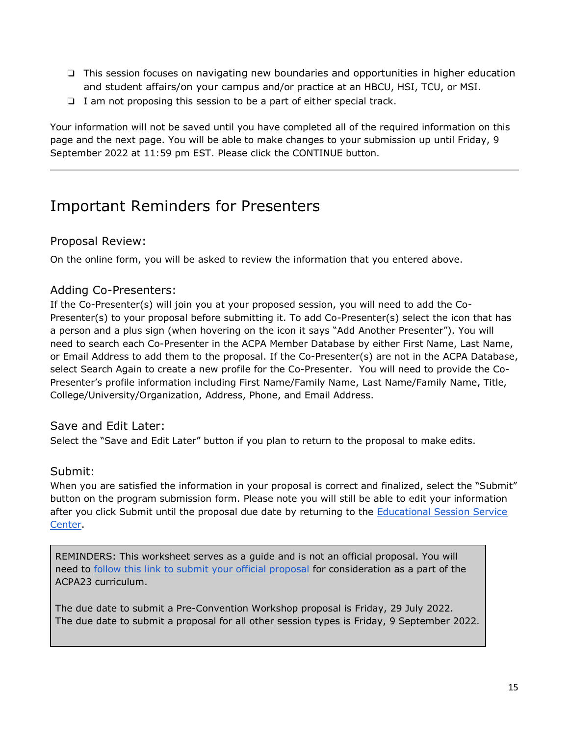- ❏ This session focuses on navigating new boundaries and opportunities in higher education and student affairs/on your campus and/or practice at an HBCU, HSI, TCU, or MSI.
- ❏ I am not proposing this session to be a part of either special track.

Your information will not be saved until you have completed all of the required information on this page and the next page. You will be able to make changes to your submission up until Friday, 9 September 2022 at 11:59 pm EST. Please click the CONTINUE button.

# Important Reminders for Presenters

#### Proposal Review:

On the online form, you will be asked to review the information that you entered above.

#### Adding Co-Presenters:

If the Co-Presenter(s) will join you at your proposed session, you will need to add the Co-Presenter(s) to your proposal before submitting it. To add Co-Presenter(s) select the icon that has a person and a plus sign (when hovering on the icon it says "Add Another Presenter"). You will need to search each Co-Presenter in the ACPA Member Database by either First Name, Last Name, or Email Address to add them to the proposal. If the Co-Presenter(s) are not in the ACPA Database, select Search Again to create a new profile for the Co-Presenter. You will need to provide the Co-Presenter's profile information including First Name/Family Name, Last Name/Family Name, Title, College/University/Organization, Address, Phone, and Email Address.

#### Save and Edit Later:

Select the "Save and Edit Later" button if you plan to return to the proposal to make edits.

#### Submit:

When you are satisfied the information in your proposal is correct and finalized, select the "Submit" button on the program submission form. Please note you will still be able to edit your information after you click Submit until the proposal due date by returning to the Educational Session Service [Center.](https://s1.goeshow.com/acpa/annual/2022/session_submission.cfm)

REMINDERS: This worksheet serves as a guide and is not an official proposal. You will need to [follow this link to submit your official proposal](https://s1.goeshow.com/acpa/annual/2022/session_submission.cfm) for consideration as a part of the ACPA23 curriculum.

The due date to submit a Pre-Convention Workshop proposal is Friday, 29 July 2022. The due date to submit a proposal for all other session types is Friday, 9 September 2022.